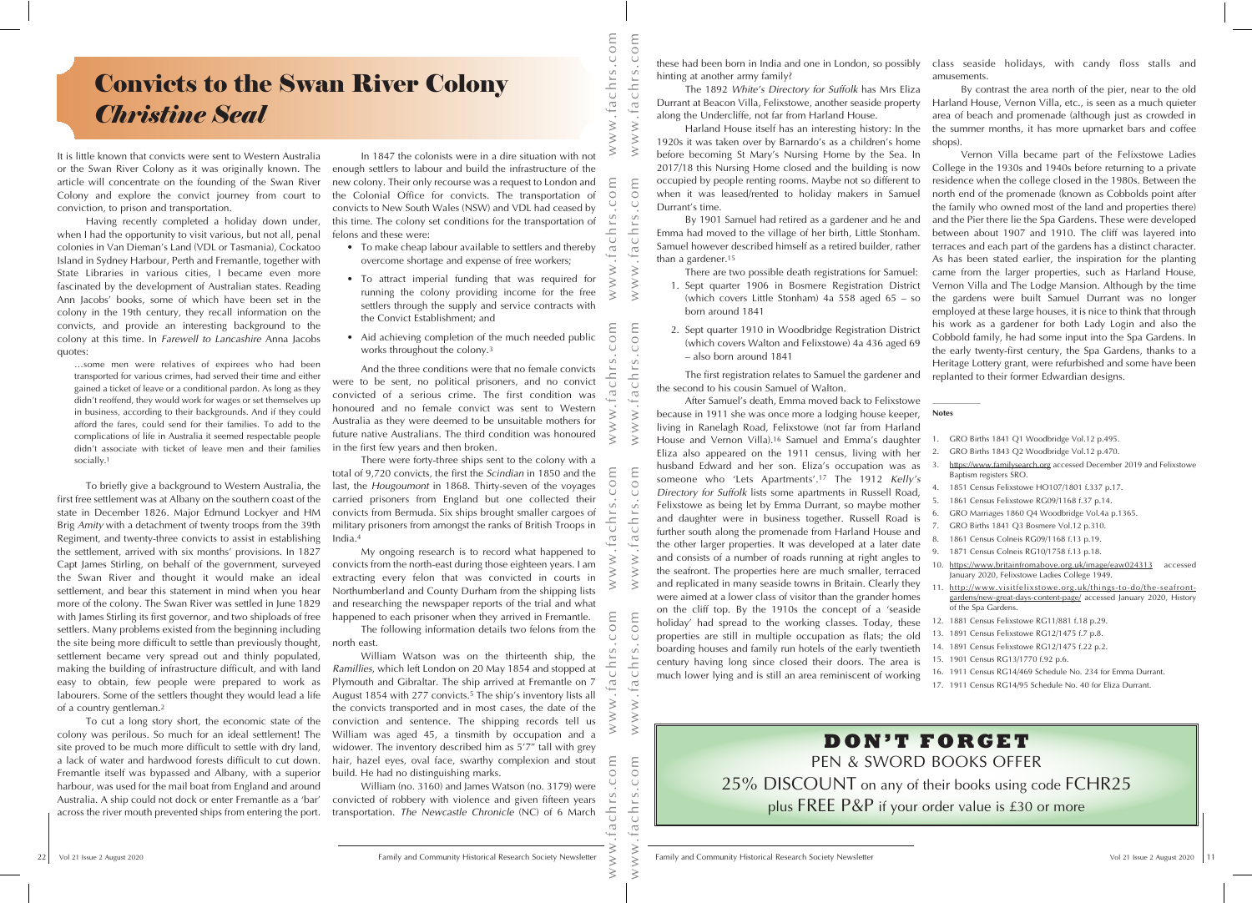## Convicts to the Swan River Colony *Christine Seal*

It is little known that convicts were sent to Western Australia or the Swan River Colony as it was originally known. The article will concentrate on the founding of the Swan River Colony and explore the convict journey from court to conviction, to prison and transportation.

Having recently completed a holiday down under, when I had the opportunity to visit various, but not all, penal colonies in Van Dieman's Land (VDL or Tasmania), Cockatoo Island in Sydney Harbour, Perth and Fremantle, together with State Libraries in various cities, I became even more fascinated by the development of Australian states. Reading Ann Jacobs' books, some of which have been set in the colony in the 19th century, they recall information on the convicts, and provide an interesting background to the colony at this time. In *Farewell to Lancashire* Anna Jacobs quotes:

…some men were relatives of expirees who had been transported for various crimes, had served their time and either gained a ticket of leave or a conditional pardon. As long as they didn't reoffend, they would work for wages or set themselves up in business, according to their backgrounds. And if they could afford the fares, could send for their families. To add to the complications of life in Australia it seemed respectable people didn't associate with ticket of leave men and their families socially.1

**Convicts to the Swan River Colony**<br> **Convicts to the Swan River Colony**<br> **Convicts the convenience of the system of the system of the system of the system of the system of the system of the system of the system of the sy** To briefly give a background to Western Australia, the first free settlement was at Albany on the southern coast of the state in December 1826. Major Edmund Lockyer and HM Brig *Amity* with a detachment of twenty troops from the 39th Regiment, and twenty-three convicts to assist in establishing the settlement, arrived with six months' provisions. In 1827 Capt James Stirling, on behalf of the government, surveyed the Swan River and thought it would make an ideal settlement, and bear this statement in mind when you hear more of the colony. The Swan River was settled in June 1829 with James Stirling its first governor, and two shiploads of free settlers. Many problems existed from the beginning including the site being more difficult to settle than previously thought, settlement became very spread out and thinly populated, making the building of infrastructure difficult, and with land easy to obtain, few people were prepared to work as labourers. Some of the settlers thought they would lead a life of a country gentleman.2

a lack of water and hardwood forests difficult to cut down. hair, hazel eyes, oval face, swarthy complexion and stout E-<br>Fremantle itself was bypassed and Albany, with a superior build. He had no distinguishing marks. On<br> To cut a long story short, the economic state of the colony was perilous. So much for an ideal settlement! The site proved to be much more difficult to settle with dry land, a lack of water and hardwood forests difficult to cut down. Fremantle itself was bypassed and Albany, with a superior harbour, was used for the mail boat from England and around Australia. A ship could not dock or enter Fremantle as a 'bar' across the river mouth prevented ships from entering the port.

In 1847 the colonists were in a dire situation with not enough settlers to labour and build the infrastructure of the new colony. Their only recourse was a request to London and the Colonial Office for convicts. The transportation of convicts to New South Wales (NSW) and VDL had ceased by this time. The colony set conditions for the transportation of felons and these were:

- To make cheap labour available to settlers and thereby overcome shortage and expense of free workers;
- To attract imperial funding that was required for running the colony providing income for the free settlers through the supply and service contracts with the Convict Establishment; and
- Aid achieving completion of the much needed public works throughout the colony.3

And the three conditions were that no female convicts were to be sent, no political prisoners, and no convict convicted of a serious crime. The first condition was honoured and no female convict was sent to Western Australia as they were deemed to be unsuitable mothers for future native Australians. The third condition was honoured in the first few years and then broken.

There were forty-three ships sent to the colony with a total of 9,720 convicts, the first the *Scindian* in 1850 and the last, the *Hougoumont* in 1868. Thirty-seven of the voyages carried prisoners from England but one collected their convicts from Bermuda. Six ships brought smaller cargoes of military prisoners from amongst the ranks of British Troops in India.4

My ongoing research is to record what happened to convicts from the north-east during those eighteen years. I am extracting every felon that was convicted in courts in Northumberland and County Durham from the shipping lists and researching the newspaper reports of the trial and what happened to each prisoner when they arrived in Fremantle.

The following information details two felons from the north east.

William Watson was on the thirteenth ship, the *Ramillies*, which left London on 20 May 1854 and stopped at Plymouth and Gibraltar. The ship arrived at Fremantle on 7 August 1854 with 277 convicts.<sup>5</sup> The ship's inventory lists all the convicts transported and in most cases, the date of the conviction and sentence. The shipping records tell us William was aged 45, a tinsmith by occupation and a widower. The inventory described him as 5'7" tall with grey hair, hazel eyes, oval face, swarthy complexion and stout build. He had no distinguishing marks.

William (no. 3160) and James Watson (no. 3179) were convicted of robbery with violence and given fifteen years transportation. *The Newcastle Chronicle* (NC) of 6 March